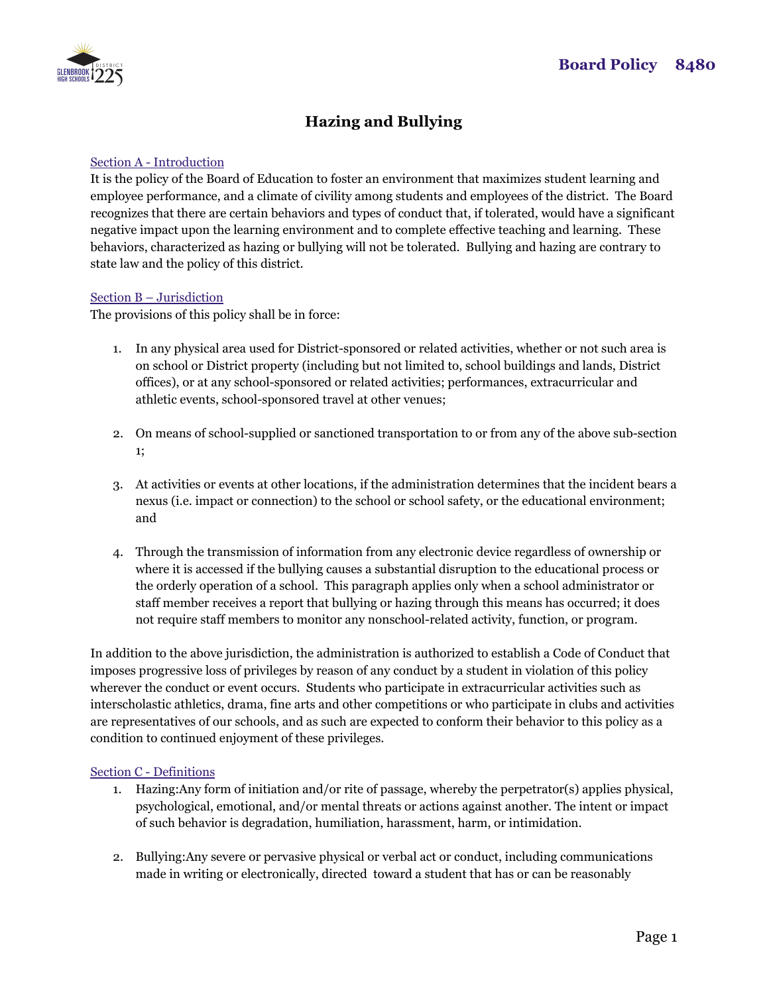

# **Hazing and Bullying**

## Section A - Introduction

It is the policy of the Board of Education to foster an environment that maximizes student learning and employee performance, and a climate of civility among students and employees of the district. The Board recognizes that there are certain behaviors and types of conduct that, if tolerated, would have a significant negative impact upon the learning environment and to complete effective teaching and learning. These behaviors, characterized as hazing or bullying will not be tolerated. Bullying and hazing are contrary to state law and the policy of this district.

### Section B – Jurisdiction

The provisions of this policy shall be in force:

- 1. In any physical area used for District-sponsored or related activities, whether or not such area is on school or District property (including but not limited to, school buildings and lands, District offices), or at any school-sponsored or related activities; performances, extracurricular and athletic events, school-sponsored travel at other venues;
- 2. On means of school-supplied or sanctioned transportation to or from any of the above sub-section 1;
- 3. At activities or events at other locations, if the administration determines that the incident bears a nexus (i.e. impact or connection) to the school or school safety, or the educational environment; and
- 4. Through the transmission of information from any electronic device regardless of ownership or where it is accessed if the bullying causes a substantial disruption to the educational process or the orderly operation of a school. This paragraph applies only when a school administrator or staff member receives a report that bullying or hazing through this means has occurred; it does not require staff members to monitor any nonschool-related activity, function, or program.

In addition to the above jurisdiction, the administration is authorized to establish a Code of Conduct that imposes progressive loss of privileges by reason of any conduct by a student in violation of this policy wherever the conduct or event occurs. Students who participate in extracurricular activities such as interscholastic athletics, drama, fine arts and other competitions or who participate in clubs and activities are representatives of our schools, and as such are expected to conform their behavior to this policy as a condition to continued enjoyment of these privileges.

### Section C - Definitions

- 1. Hazing:Any form of initiation and/or rite of passage, whereby the perpetrator(s) applies physical, psychological, emotional, and/or mental threats or actions against another. The intent or impact of such behavior is degradation, humiliation, harassment, harm, or intimidation.
- 2. Bullying:Any severe or pervasive physical or verbal act or conduct, including communications made in writing or electronically, directed toward a student that has or can be reasonably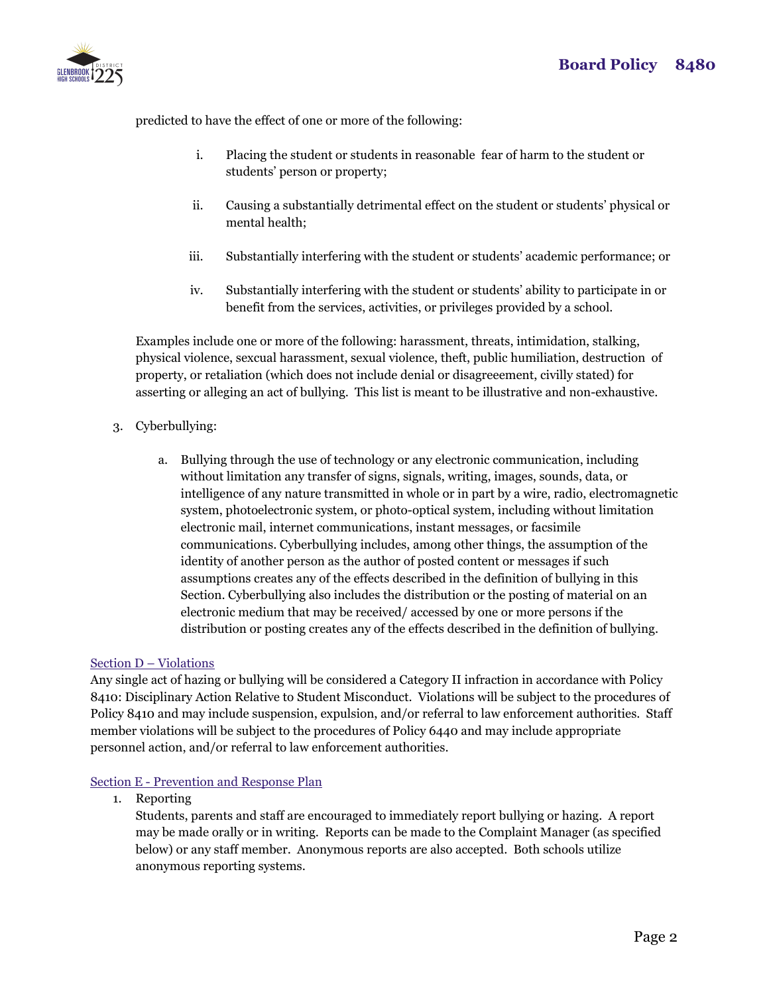

predicted to have the effect of one or more of the following:

- i. Placing the student or students in reasonable fear of harm to the student or students' person or property;
- ii. Causing a substantially detrimental effect on the student or students' physical or mental health;
- iii. Substantially interfering with the student or students' academic performance; or
- iv. Substantially interfering with the student or students' ability to participate in or benefit from the services, activities, or privileges provided by a school.

Examples include one or more of the following: harassment, threats, intimidation, stalking, physical violence, sexcual harassment, sexual violence, theft, public humiliation, destruction of property, or retaliation (which does not include denial or disagreeement, civilly stated) for asserting or alleging an act of bullying. This list is meant to be illustrative and non-exhaustive.

- 3. Cyberbullying:
	- a. Bullying through the use of technology or any electronic communication, including without limitation any transfer of signs, signals, writing, images, sounds, data, or intelligence of any nature transmitted in whole or in part by a wire, radio, electromagnetic system, photoelectronic system, or photo-optical system, including without limitation electronic mail, internet communications, instant messages, or facsimile communications. Cyberbullying includes, among other things, the assumption of the identity of another person as the author of posted content or messages if such assumptions creates any of the effects described in the definition of bullying in this Section. Cyberbullying also includes the distribution or the posting of material on an electronic medium that may be received/ accessed by one or more persons if the distribution or posting creates any of the effects described in the definition of bullying.

# Section D – Violations

Any single act of hazing or bullying will be considered a Category II infraction in accordance with Policy 8410: Disciplinary Action Relative to Student Misconduct. Violations will be subject to the procedures of Policy 8410 and may include suspension, expulsion, and/or referral to law enforcement authorities. Staff member violations will be subject to the procedures of Policy 6440 and may include appropriate personnel action, and/or referral to law enforcement authorities.

## Section E - Prevention and Response Plan

1. Reporting

Students, parents and staff are encouraged to immediately report bullying or hazing. A report may be made orally or in writing. Reports can be made to the Complaint Manager (as specified below) or any staff member. Anonymous reports are also accepted. Both schools utilize anonymous reporting systems.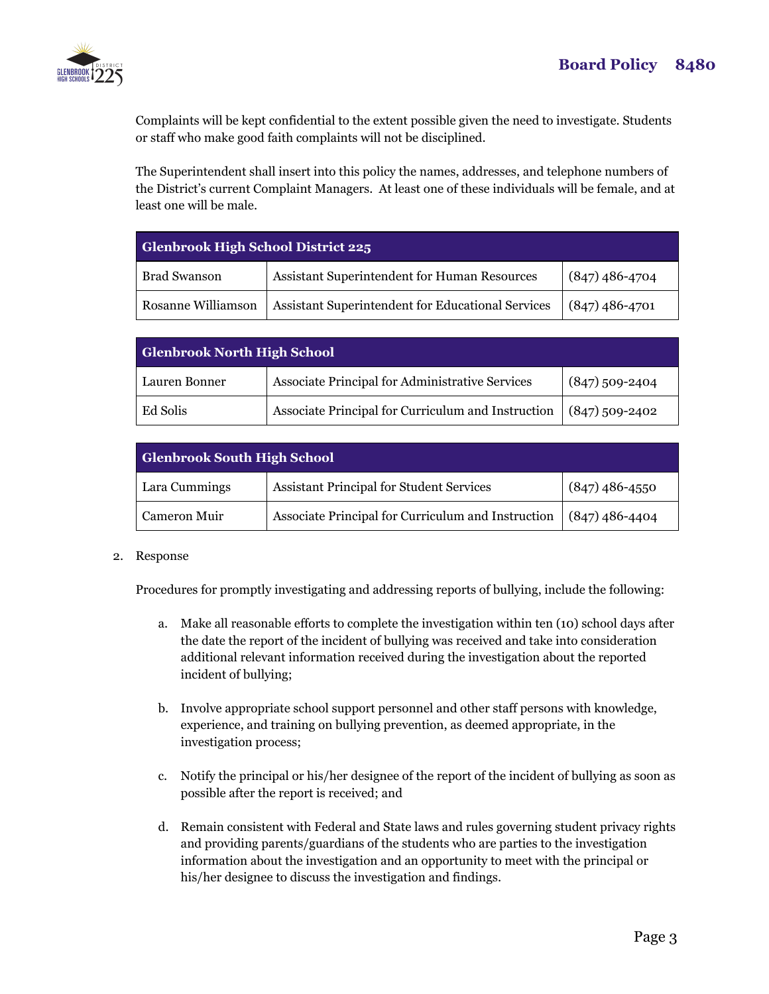

Complaints will be kept confidential to the extent possible given the need to investigate. Students or staff who make good faith complaints will not be disciplined.

The Superintendent shall insert into this policy the names, addresses, and telephone numbers of the District's current Complaint Managers. At least one of these individuals will be female, and at least one will be male.

| Glenbrook High School District 225 |                                                   |                  |  |
|------------------------------------|---------------------------------------------------|------------------|--|
| <b>Brad Swanson</b>                | Assistant Superintendent for Human Resources      | $(847)$ 486-4704 |  |
| Rosanne Williamson                 | Assistant Superintendent for Educational Services | $(847)$ 486-4701 |  |

| <b>Glenbrook North High School</b> |                                                                     |                  |  |
|------------------------------------|---------------------------------------------------------------------|------------------|--|
| Lauren Bonner                      | Associate Principal for Administrative Services                     | $(847)$ 509-2404 |  |
| Ed Solis                           | Associate Principal for Curriculum and Instruction $(847)$ 509-2402 |                  |  |

| <b>Glenbrook South High School</b> |                                                                     |                  |  |
|------------------------------------|---------------------------------------------------------------------|------------------|--|
| Lara Cummings                      | <b>Assistant Principal for Student Services</b>                     | $(847)$ 486-4550 |  |
| Cameron Muir                       | Associate Principal for Curriculum and Instruction $(847)$ 486-4404 |                  |  |

### 2. Response

Procedures for promptly investigating and addressing reports of bullying, include the following:

- a. Make all reasonable efforts to complete the investigation within ten (10) school days after the date the report of the incident of bullying was received and take into consideration additional relevant information received during the investigation about the reported incident of bullying;
- b. Involve appropriate school support personnel and other staff persons with knowledge, experience, and training on bullying prevention, as deemed appropriate, in the investigation process;
- c. Notify the principal or his/her designee of the report of the incident of bullying as soon as possible after the report is received; and
- d. Remain consistent with Federal and State laws and rules governing student privacy rights and providing parents/guardians of the students who are parties to the investigation information about the investigation and an opportunity to meet with the principal or his/her designee to discuss the investigation and findings.